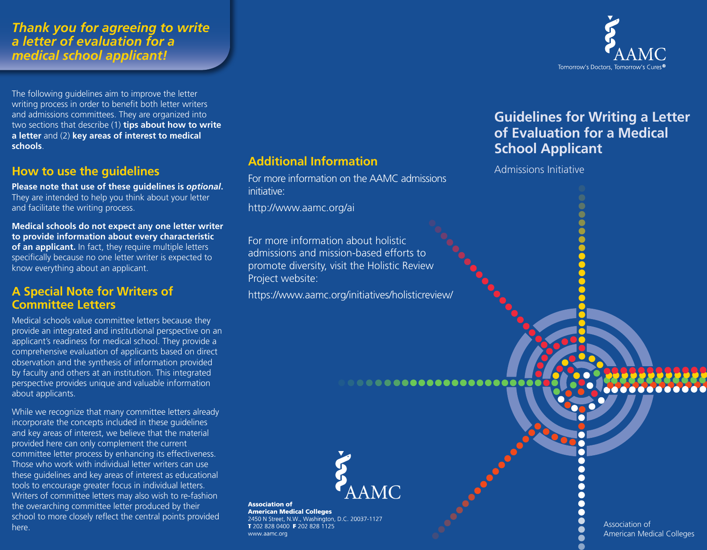## *Thank you for agreeing to write a letter of evaluation for a medical school applicant!*

The following guidelines aim to improve the letter writing process in order to benefit both letter writers and admissions committees. They are organized into two sections that describe (1) **tips about how to write a letter** and (2) **key areas of interest to medical schools**.

## **How to use the guidelines**

**Please note that use of these guidelines is** *optional***.** They are intended to help you think about your letter and facilitate the writing process.

**Medical schools do not expect any one letter writer to provide information about every characteristic of an applicant.** In fact, they require multiple letters specifically because no one letter writer is expected to know everything about an applicant.

## **A Special Note for Writers of Committee Letters**

Medical schools value committee letters because they provide an integrated and institutional perspective on an applicant's readiness for medical school. They provide a comprehensive evaluation of applicants based on direct observation and the synthesis of information provided by faculty and others at an institution. This integrated perspective provides unique and valuable information about applicants.

While we recognize that many committee letters already incorporate the concepts included in these guidelines and key areas of interest, we believe that the material provided here can only complement the current committee letter process by enhancing its effectiveness. Those who work with individual letter writers can use these guidelines and key areas of interest as educational tools to encourage greater focus in individual letters. Writers of committee letters may also wish to re-fashion the overarching committee letter produced by their school to more closely reflect the central points provided here.

## **Additional Information**

For more information on the AAMC admissions initiative:

http://www.aamc.org/ai

For more information about holistic admissions and mission-based efforts to promote diversity, visit the Holistic Review Project website:

<https://www.aamc.org/initiatives/holisticreview/>



**Association of American Medical Colleges** 2450 N Street, N.W., Washington, D.C. 20037-1127 T 202 828 0400 F 202 828 1125 www.aamc.org



# **Guidelines for Writing a Letter of Evaluation for a Medical School Applicant**

Admissions Initiative

Association of American Medical Colleges